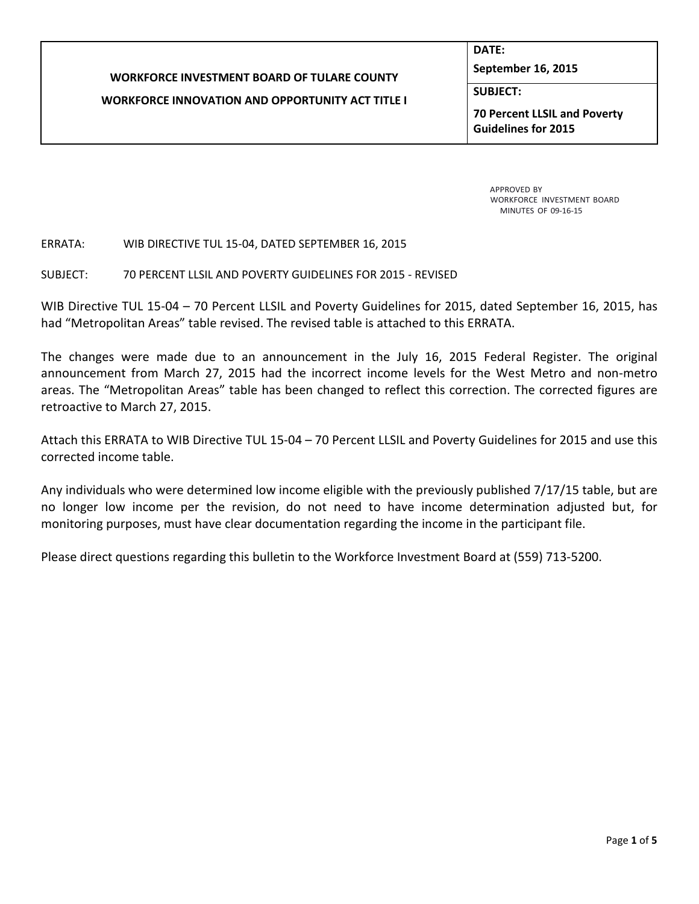# **WORKFORCE INVESTMENT BOARD OF TULARE COUNTY**

## **WORKFORCE INNOVATION AND OPPORTUNITY ACT TITLE I**

**DATE:**

**September 16, 2015**

**SUBJECT:**

**70 Percent LLSIL and Poverty Guidelines for 2015**

> APPROVED BY WORKFORCE INVESTMENT BOARD MINUTES OF 09-16-15

## ERRATA: WIB DIRECTIVE TUL 15-04, DATED SEPTEMBER 16, 2015

SUBJECT: 70 PERCENT LLSIL AND POVERTY GUIDELINES FOR 2015 - REVISED

WIB Directive TUL 15-04 – 70 Percent LLSIL and Poverty Guidelines for 2015, dated September 16, 2015, has had "Metropolitan Areas" table revised. The revised table is attached to this ERRATA.

The changes were made due to an announcement in the July 16, 2015 Federal Register. The original announcement from March 27, 2015 had the incorrect income levels for the West Metro and non-metro areas. The "Metropolitan Areas" table has been changed to reflect this correction. The corrected figures are retroactive to March 27, 2015.

Attach this ERRATA to WIB Directive TUL 15-04 – 70 Percent LLSIL and Poverty Guidelines for 2015 and use this corrected income table.

Any individuals who were determined low income eligible with the previously published 7/17/15 table, but are no longer low income per the revision, do not need to have income determination adjusted but, for monitoring purposes, must have clear documentation regarding the income in the participant file.

Please direct questions regarding this bulletin to the Workforce Investment Board at (559) 713-5200.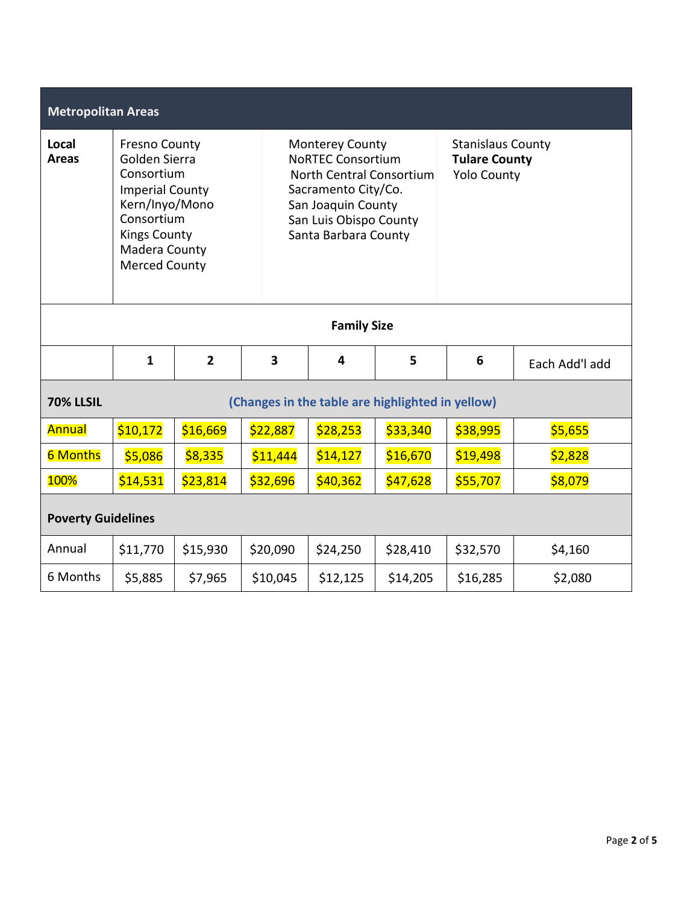| <b>Metropolitan Areas</b>                                            |                                                                                                                                                                               |                |                         |                                                                                                                                                                               |          |          |                                                                        |  |  |  |  |
|----------------------------------------------------------------------|-------------------------------------------------------------------------------------------------------------------------------------------------------------------------------|----------------|-------------------------|-------------------------------------------------------------------------------------------------------------------------------------------------------------------------------|----------|----------|------------------------------------------------------------------------|--|--|--|--|
| Local<br><b>Areas</b>                                                | <b>Fresno County</b><br>Golden Sierra<br>Consortium<br><b>Imperial County</b><br>Kern/Inyo/Mono<br>Consortium<br><b>Kings County</b><br>Madera County<br><b>Merced County</b> |                |                         | <b>Monterey County</b><br><b>NORTEC Consortium</b><br>North Central Consortium<br>Sacramento City/Co.<br>San Joaquin County<br>San Luis Obispo County<br>Santa Barbara County |          |          | <b>Stanislaus County</b><br><b>Tulare County</b><br><b>Yolo County</b> |  |  |  |  |
| <b>Family Size</b>                                                   |                                                                                                                                                                               |                |                         |                                                                                                                                                                               |          |          |                                                                        |  |  |  |  |
|                                                                      | $\mathbf{1}$                                                                                                                                                                  | $\overline{2}$ | $\overline{\mathbf{3}}$ | 4                                                                                                                                                                             | 5        | 6        | Each Add'l add                                                         |  |  |  |  |
| <b>70% LLSIL</b><br>(Changes in the table are highlighted in yellow) |                                                                                                                                                                               |                |                         |                                                                                                                                                                               |          |          |                                                                        |  |  |  |  |
| Annual                                                               | \$10,172                                                                                                                                                                      | \$16,669       | \$22,887                | \$28,253                                                                                                                                                                      | \$33,340 | \$38,995 | \$5,655                                                                |  |  |  |  |
| <b>6 Months</b>                                                      | \$5,086                                                                                                                                                                       | \$8,335        | \$11,444                | \$14,127                                                                                                                                                                      | \$16,670 | \$19,498 | \$2,828                                                                |  |  |  |  |
| 100%                                                                 | \$14,531                                                                                                                                                                      | \$23,814       | \$32,696                | \$40,362                                                                                                                                                                      | \$47,628 | \$55,707 | \$8,079                                                                |  |  |  |  |
| <b>Poverty Guidelines</b>                                            |                                                                                                                                                                               |                |                         |                                                                                                                                                                               |          |          |                                                                        |  |  |  |  |
| Annual                                                               | \$11,770                                                                                                                                                                      | \$15,930       | \$20,090                | \$24,250                                                                                                                                                                      | \$28,410 | \$32,570 | \$4,160                                                                |  |  |  |  |
| 6 Months                                                             | \$5,885                                                                                                                                                                       | \$7,965        | \$10,045                | \$12,125                                                                                                                                                                      | \$14,205 | \$16,285 | \$2,080                                                                |  |  |  |  |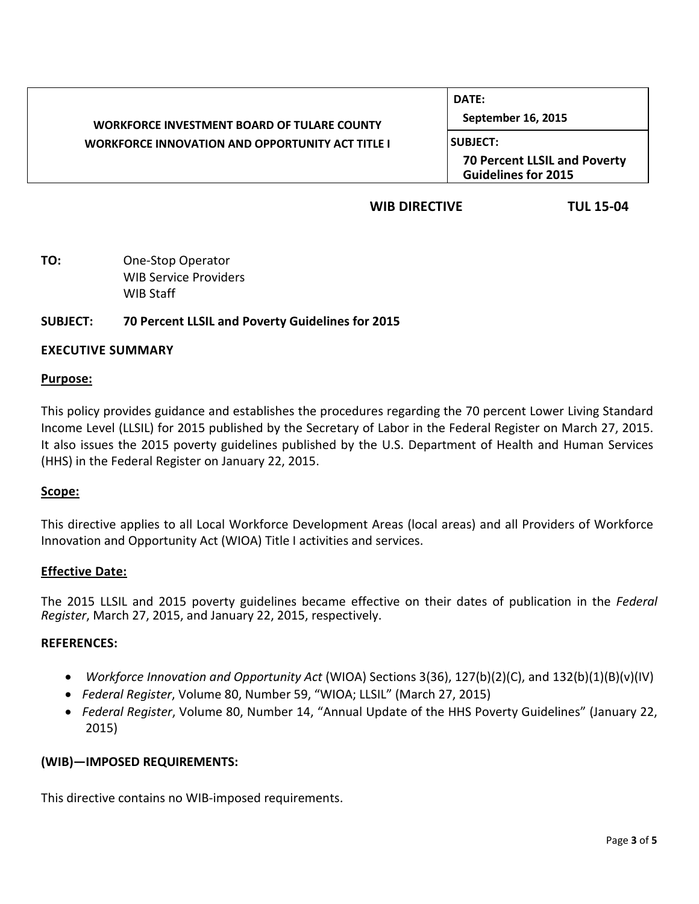|                                                         | DATE:                                                             |  |
|---------------------------------------------------------|-------------------------------------------------------------------|--|
| <b>WORKFORCE INVESTMENT BOARD OF TULARE COUNTY</b>      | September 16, 2015                                                |  |
| <b>WORKFORCE INNOVATION AND OPPORTUNITY ACT TITLE I</b> | <b>SUBJECT:</b>                                                   |  |
|                                                         | <b>70 Percent LLSIL and Poverty</b><br><b>Guidelines for 2015</b> |  |
|                                                         |                                                                   |  |

## **WIB DIRECTIVE TUL 15-04**

**TO:** One-Stop Operator WIB Service Providers WIB Staff

## **SUBJECT: 70 Percent LLSIL and Poverty Guidelines for 2015**

#### **EXECUTIVE SUMMARY**

#### **Purpose:**

This policy provides guidance and establishes the procedures regarding the 70 percent Lower Living Standard Income Level (LLSIL) for 2015 published by the Secretary of Labor in the Federal Register on March 27, 2015. It also issues the 2015 poverty guidelines published by the U.S. Department of Health and Human Services (HHS) in the Federal Register on January 22, 2015.

#### **Scope:**

This directive applies to all Local Workforce Development Areas (local areas) and all Providers of Workforce Innovation and Opportunity Act (WIOA) Title I activities and services.

#### **Effective Date:**

The 2015 LLSIL and 2015 poverty guidelines became effective on their dates of publication in the *Federal Register*, March 27, 2015, and January 22, 2015, respectively.

#### **REFERENCES:**

- *Workforce Innovation and Opportunity Act* (WIOA) Sections 3(36), 127(b)(2)(C), and 132(b)(1)(B)(v)(IV)
- *Federal Register*, Volume 80, Number 59, "WIOA; LLSIL" (March 27, 2015)
- *Federal Register*, Volume 80, Number 14, "Annual Update of the HHS Poverty Guidelines" (January 22, 2015)

#### **(WIB)—IMPOSED REQUIREMENTS:**

This directive contains no WIB-imposed requirements.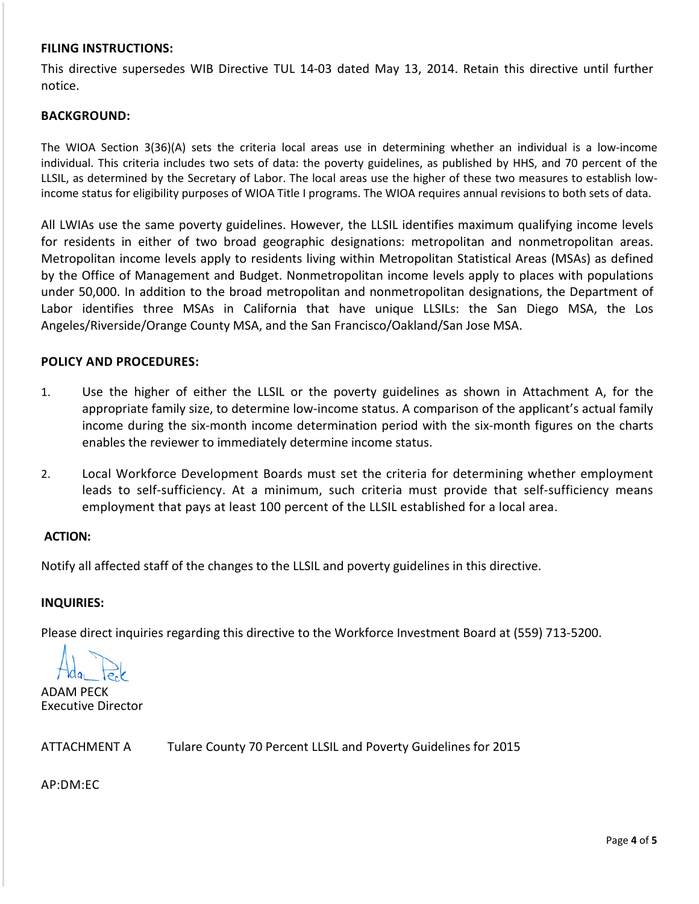#### **FILING INSTRUCTIONS:**

This directive supersedes WIB Directive TUL 14-03 dated May 13, 2014. Retain this directive until further notice.

### **BACKGROUND:**

The WIOA Section 3(36)(A) sets the criteria local areas use in determining whether an individual is a low-income individual. This criteria includes two sets of data: the poverty guidelines, as published by HHS, and 70 percent of the LLSIL, as determined by the Secretary of Labor. The local areas use the higher of these two measures to establish lowincome status for eligibility purposes of WIOA Title I programs. The WIOA requires annual revisions to both sets of data.

All LWIAs use the same poverty guidelines. However, the LLSIL identifies maximum qualifying income levels for residents in either of two broad geographic designations: metropolitan and nonmetropolitan areas. Metropolitan income levels apply to residents living within Metropolitan Statistical Areas (MSAs) as defined by the Office of Management and Budget. Nonmetropolitan income levels apply to places with populations under 50,000. In addition to the broad metropolitan and nonmetropolitan designations, the Department of Labor identifies three MSAs in California that have unique LLSILs: the San Diego MSA, the Los Angeles/Riverside/Orange County MSA, and the San Francisco/Oakland/San Jose MSA.

#### **POLICY AND PROCEDURES:**

- 1. Use the higher of either the LLSIL or the poverty guidelines as shown in Attachment A, for the appropriate family size, to determine low-income status. A comparison of the applicant's actual family income during the six-month income determination period with the six-month figures on the charts enables the reviewer to immediately determine income status.
- 2. Local Workforce Development Boards must set the criteria for determining whether employment leads to self-sufficiency. At a minimum, such criteria must provide that self-sufficiency means employment that pays at least 100 percent of the LLSIL established for a local area.

#### **ACTION:**

Notify all affected staff of the changes to the LLSIL and poverty guidelines in this directive.

#### **INQUIRIES:**

Please direct inquiries regarding this directive to the Workforce Investment Board at (559) 713-5200.

ADAM PECK Executive Director

ATTACHMENT A Tulare County 70 Percent LLSIL and Poverty Guidelines for 2015

AP:DM:EC